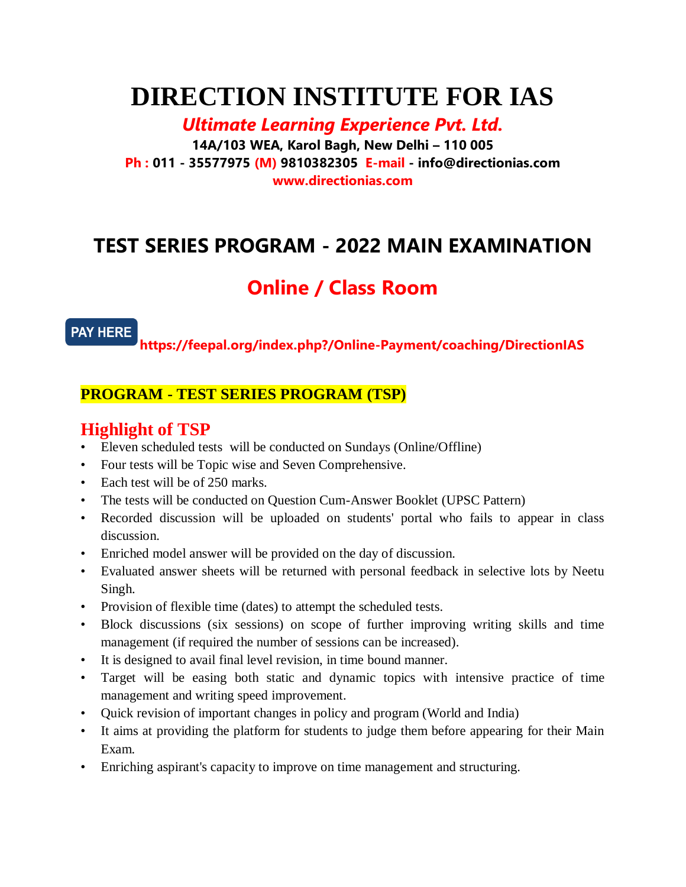# **DIRECTION INSTITUTE FOR IAS**

*Ultimate Learning Experience Pvt. Ltd.*

**14A/103 WEA, Karol Bagh, New Delhi – 110 005 Ph : 011 - 35577975 (M) 9810382305 E-mail - info@directionias.com www.directionias.com**

## **TEST SERIES PROGRAM - 2022 MAIN EXAMINATION**

## **Online / Class Room**

**https://feepal.org/index.php?/Online-Payment/coaching/DirectionIAS**

#### **PROGRAM - TEST SERIES PROGRAM (TSP)**

### **Highlight of TSP**

- Eleven scheduled tests will be conducted on Sundays (Online/Offline)
- Four tests will be Topic wise and Seven Comprehensive.
- Each test will be of 250 marks.
- The tests will be conducted on Question Cum-Answer Booklet (UPSC Pattern)
- Recorded discussion will be uploaded on students' portal who fails to appear in class discussion.
- Enriched model answer will be provided on the day of discussion.
- Evaluated answer sheets will be returned with personal feedback in selective lots by Neetu Singh.
- Provision of flexible time (dates) to attempt the scheduled tests.
- Block discussions (six sessions) on scope of further improving writing skills and time management (if required the number of sessions can be increased).
- It is designed to avail final level revision, in time bound manner.
- Target will be easing both static and dynamic topics with intensive practice of time management and writing speed improvement.
- Quick revision of important changes in policy and program (World and India)
- It aims at providing the platform for students to judge them before appearing for their Main Exam.
- Enriching aspirant's capacity to improve on time management and structuring.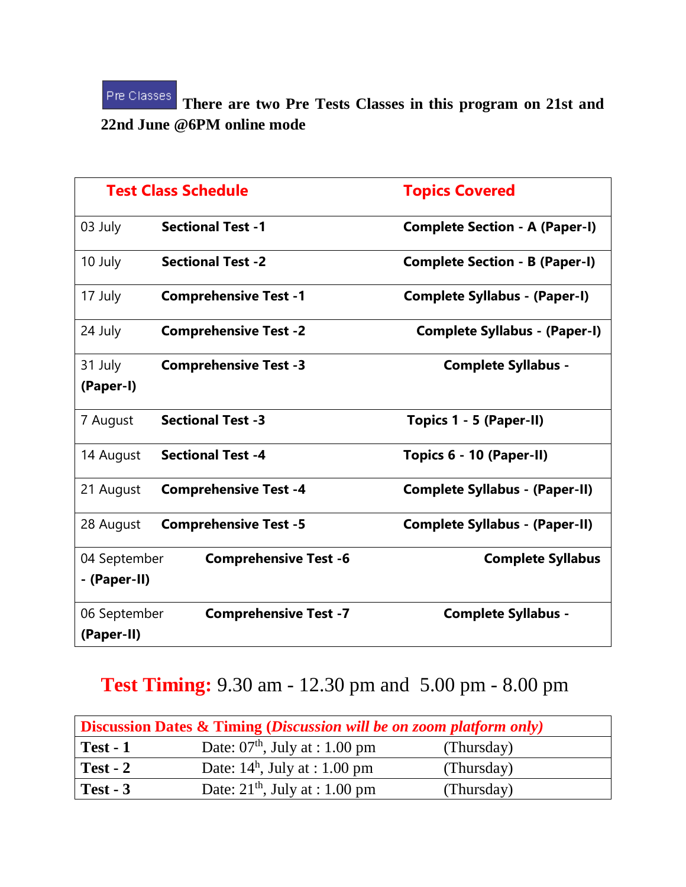Pre Classes

**There are two Pre Tests Classes in this program on 21st and 22nd June @6PM online mode**

| <b>Test Class Schedule</b> |                              | <b>Topics Covered</b>                 |
|----------------------------|------------------------------|---------------------------------------|
| 03 July                    | <b>Sectional Test -1</b>     | <b>Complete Section - A (Paper-I)</b> |
| 10 July                    | <b>Sectional Test -2</b>     | <b>Complete Section - B (Paper-I)</b> |
| 17 July                    | <b>Comprehensive Test -1</b> | <b>Complete Syllabus - (Paper-I)</b>  |
| 24 July                    | <b>Comprehensive Test -2</b> | <b>Complete Syllabus - (Paper-I)</b>  |
| 31 July                    | <b>Comprehensive Test -3</b> | <b>Complete Syllabus -</b>            |
| (Paper-I)                  |                              |                                       |
| 7 August                   | <b>Sectional Test -3</b>     | Topics 1 - 5 (Paper-II)               |
| 14 August                  | <b>Sectional Test -4</b>     | Topics 6 - 10 (Paper-II)              |
| 21 August                  | <b>Comprehensive Test -4</b> | <b>Complete Syllabus - (Paper-II)</b> |
| 28 August                  | <b>Comprehensive Test -5</b> | <b>Complete Syllabus - (Paper-II)</b> |
| 04 September               | <b>Comprehensive Test -6</b> | <b>Complete Syllabus</b>              |
| - (Paper-II)               |                              |                                       |
| 06 September               | <b>Comprehensive Test -7</b> | <b>Complete Syllabus -</b>            |
| (Paper-II)                 |                              |                                       |

## **Test Timing:** 9.30 am - 12.30 pm and 5.00 pm - 8.00 pm

| <b>Discussion Dates &amp; Timing (Discussion will be on zoom platform only)</b> |                                  |            |  |
|---------------------------------------------------------------------------------|----------------------------------|------------|--|
| $Test - 1$                                                                      | Date: $07th$ , July at : 1.00 pm | (Thursday) |  |
| $Test - 2$                                                                      | Date: $14^h$ , July at : 1.00 pm | (Thursday) |  |
| $Test - 3$                                                                      | Date: $21th$ , July at : 1.00 pm | (Thursday) |  |